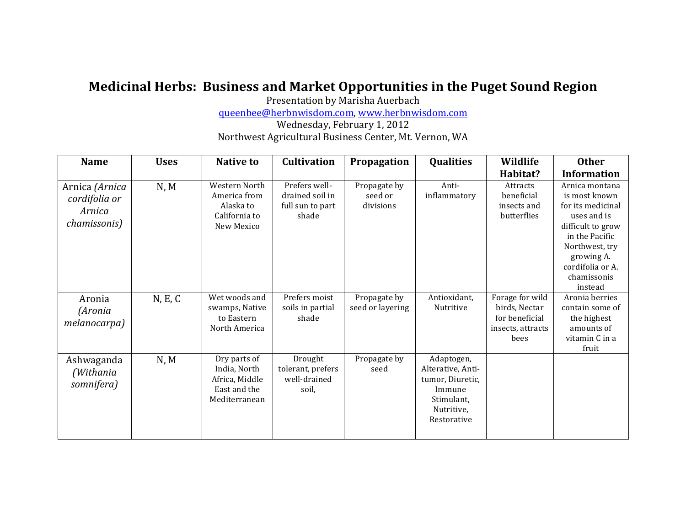## Medicinal Herbs: Business and Market Opportunities in the Puget Sound Region

Presentation by Marisha Auerbach

queenbee@herbnwisdom.com,\*www.herbnwisdom.com

Wednesday, February 1, 2012 Northwest Agricultural Business Center, Mt. Vernon, WA

| <b>Name</b>                                                       | <b>Uses</b> | <b>Native to</b>                                                                 | <b>Cultivation</b>                                            | Propagation                          | <b>Qualities</b>                                                                                         | Wildlife                                                                        | <b>Other</b>                                                                                                                                                                             |
|-------------------------------------------------------------------|-------------|----------------------------------------------------------------------------------|---------------------------------------------------------------|--------------------------------------|----------------------------------------------------------------------------------------------------------|---------------------------------------------------------------------------------|------------------------------------------------------------------------------------------------------------------------------------------------------------------------------------------|
|                                                                   |             |                                                                                  |                                                               |                                      |                                                                                                          | Habitat?                                                                        | <b>Information</b>                                                                                                                                                                       |
| Arnica (Arnica<br>cordifolia or<br>Arnica<br><i>chamissonis</i> ) | N, M        | <b>Western North</b><br>America from<br>Alaska to<br>California to<br>New Mexico | Prefers well-<br>drained soil in<br>full sun to part<br>shade | Propagate by<br>seed or<br>divisions | Anti-<br>inflammatory                                                                                    | Attracts<br>beneficial<br>insects and<br>butterflies                            | Arnica montana<br>is most known<br>for its medicinal<br>uses and is<br>difficult to grow<br>in the Pacific<br>Northwest, try<br>growing A.<br>cordifolia or A.<br>chamissonis<br>instead |
| Aronia<br>(Aronia<br>melanocarpa)                                 | N, E, C     | Wet woods and<br>swamps, Native<br>to Eastern<br>North America                   | Prefers moist<br>soils in partial<br>shade                    | Propagate by<br>seed or layering     | Antioxidant,<br>Nutritive                                                                                | Forage for wild<br>birds, Nectar<br>for beneficial<br>insects, attracts<br>bees | Aronia berries<br>contain some of<br>the highest<br>amounts of<br>vitamin C in a<br>fruit                                                                                                |
| Ashwaganda<br>(Withania<br>somnifera)                             | N, M        | Dry parts of<br>India, North<br>Africa, Middle<br>East and the<br>Mediterranean  | Drought<br>tolerant, prefers<br>well-drained<br>soil,         | Propagate by<br>seed                 | Adaptogen,<br>Alterative, Anti-<br>tumor, Diuretic,<br>Immune<br>Stimulant.<br>Nutritive.<br>Restorative |                                                                                 |                                                                                                                                                                                          |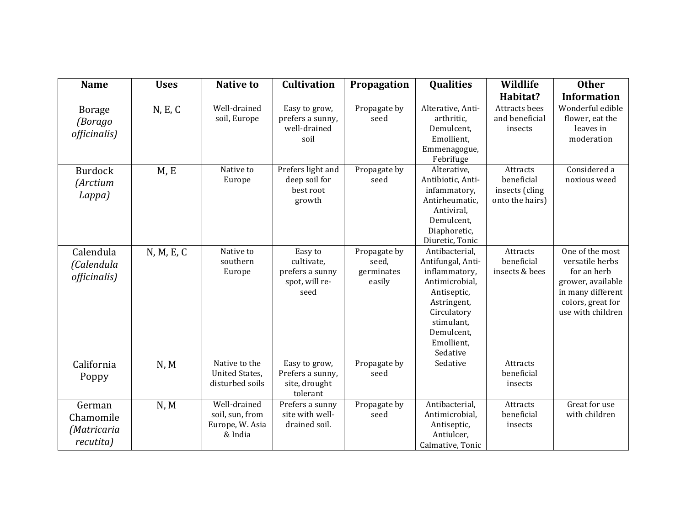| <b>Name</b>                                     | <b>Uses</b> | <b>Native to</b>                                              | <b>Cultivation</b>                                                 | Propagation                                   | Qualities                                                                                                                                                                 | Wildlife                                                    | <b>Other</b>                                                                                                                          |
|-------------------------------------------------|-------------|---------------------------------------------------------------|--------------------------------------------------------------------|-----------------------------------------------|---------------------------------------------------------------------------------------------------------------------------------------------------------------------------|-------------------------------------------------------------|---------------------------------------------------------------------------------------------------------------------------------------|
|                                                 |             |                                                               |                                                                    |                                               |                                                                                                                                                                           | Habitat?                                                    | <b>Information</b>                                                                                                                    |
| <b>Borage</b><br>(Borago<br>officinalis)        | N, E, C     | Well-drained<br>soil, Europe                                  | Easy to grow,<br>prefers a sunny,<br>well-drained<br>soil          | Propagate by<br>seed                          | Alterative, Anti-<br>arthritic,<br>Demulcent,<br>Emollient,<br>Emmenagogue,<br>Febrifuge                                                                                  | Attracts bees<br>and beneficial<br>insects                  | Wonderful edible<br>flower, eat the<br>leaves in<br>moderation                                                                        |
| <b>Burdock</b><br><i>(Arctium</i><br>Lappa)     | M, E        | Native to<br>Europe                                           | Prefers light and<br>deep soil for<br>best root<br>growth          | Propagate by<br>seed                          | Alterative,<br>Antibiotic, Anti-<br>infammatory,<br>Antirheumatic,<br>Antiviral,<br>Demulcent,<br>Diaphoretic,<br>Diuretic, Tonic                                         | Attracts<br>beneficial<br>insects (cling<br>onto the hairs) | Considered a<br>noxious weed                                                                                                          |
| Calendula<br>(Calendula<br>officinalis)         | N, M, E, C  | Native to<br>southern<br>Europe                               | Easy to<br>cultivate,<br>prefers a sunny<br>spot, will re-<br>seed | Propagate by<br>seed,<br>germinates<br>easily | Antibacterial,<br>Antifungal, Anti-<br>inflammatory,<br>Antimicrobial,<br>Antiseptic,<br>Astringent,<br>Circulatory<br>stimulant,<br>Demulcent,<br>Emollient,<br>Sedative | <b>Attracts</b><br>beneficial<br>insects & bees             | One of the most<br>versatile herbs<br>for an herb<br>grower, available<br>in many different<br>colors, great for<br>use with children |
| California<br>Poppy                             | N, M        | Native to the<br><b>United States,</b><br>disturbed soils     | Easy to grow,<br>Prefers a sunny,<br>site, drought<br>tolerant     | Propagate by<br>seed                          | Sedative                                                                                                                                                                  | Attracts<br>beneficial<br>insects                           |                                                                                                                                       |
| German<br>Chamomile<br>(Matricaria<br>recutita) | N, M        | Well-drained<br>soil, sun, from<br>Europe, W. Asia<br>& India | Prefers a sunny<br>site with well-<br>drained soil.                | Propagate by<br>seed                          | Antibacterial,<br>Antimicrobial,<br>Antiseptic,<br>Antiulcer,<br>Calmative, Tonic                                                                                         | Attracts<br>beneficial<br>insects                           | Great for use<br>with children                                                                                                        |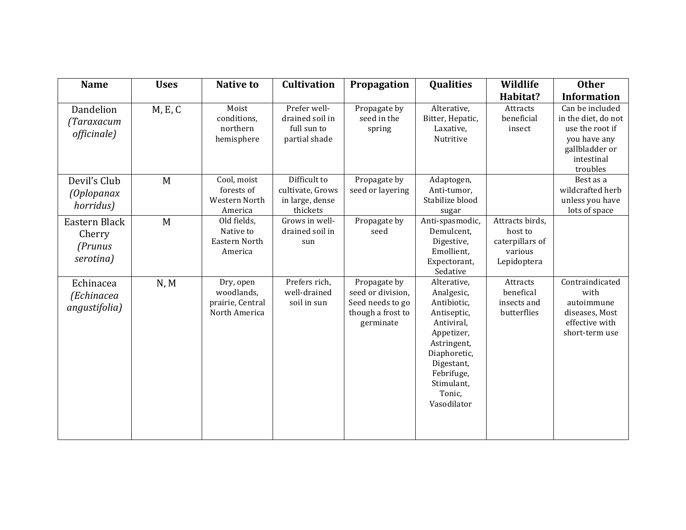| <b>Name</b>                                     | <b>Uses</b> | <b>Native to</b>                                             | <b>Cultivation</b>                                              | Propagation                                                                             | <b>Qualities</b>                                                                                                                                                                      | Wildlife                                                                | <b>Other</b>                                                                                                          |
|-------------------------------------------------|-------------|--------------------------------------------------------------|-----------------------------------------------------------------|-----------------------------------------------------------------------------------------|---------------------------------------------------------------------------------------------------------------------------------------------------------------------------------------|-------------------------------------------------------------------------|-----------------------------------------------------------------------------------------------------------------------|
|                                                 |             |                                                              |                                                                 |                                                                                         |                                                                                                                                                                                       | Habitat?                                                                | <b>Information</b>                                                                                                    |
| Dandelion<br>(Taraxacum<br>officinale)          | M, E, C     | Moist<br>conditions,<br>northern<br>hemisphere               | Prefer well-<br>drained soil in<br>full sun to<br>partial shade | Propagate by<br>seed in the<br>spring                                                   | Alterative,<br>Bitter, Hepatic,<br>Laxative,<br>Nutritive                                                                                                                             | Attracts<br>beneficial<br>insect                                        | Can be included<br>in the diet, do not<br>use the root if<br>you have any<br>gallbladder or<br>intestinal<br>troubles |
| Devil's Club<br><i>(Oplopanax</i><br>horridus)  | M           | Cool, moist<br>forests of<br>Western North<br>America        | Difficult to<br>cultivate, Grows<br>in large, dense<br>thickets | Propagate by<br>seed or layering                                                        | Adaptogen,<br>Anti-tumor,<br>Stabilize blood<br>sugar                                                                                                                                 |                                                                         | Best as a<br>wildcrafted herb<br>unless you have<br>lots of space                                                     |
| Eastern Black<br>Cherry<br>(Prunus<br>serotina) | M           | Old fields,<br>Native to<br>Eastern North<br>America         | Grows in well-<br>drained soil in<br>sun                        | Propagate by<br>seed                                                                    | Anti-spasmodic,<br>Demulcent.<br>Digestive,<br>Emollient,<br>Expectorant,<br>Sedative                                                                                                 | Attracts birds,<br>host to<br>caterpillars of<br>various<br>Lepidoptera |                                                                                                                       |
| Echinacea<br>(Echinacea<br>angustifolia)        | N, M        | Dry, open<br>woodlands,<br>prairie, Central<br>North America | Prefers rich,<br>well-drained<br>soil in sun                    | Propagate by<br>seed or division,<br>Seed needs to go<br>though a frost to<br>germinate | Alterative,<br>Analgesic,<br>Antibiotic,<br>Antiseptic,<br>Antiviral,<br>Appetizer,<br>Astringent,<br>Diaphoretic,<br>Digestant,<br>Febrifuge,<br>Stimulant,<br>Tonic,<br>Vasodilator | Attracts<br>benefical<br>insects and<br>butterflies                     | Contraindicated<br>with<br>autoimmune<br>diseases, Most<br>effective with<br>short-term use                           |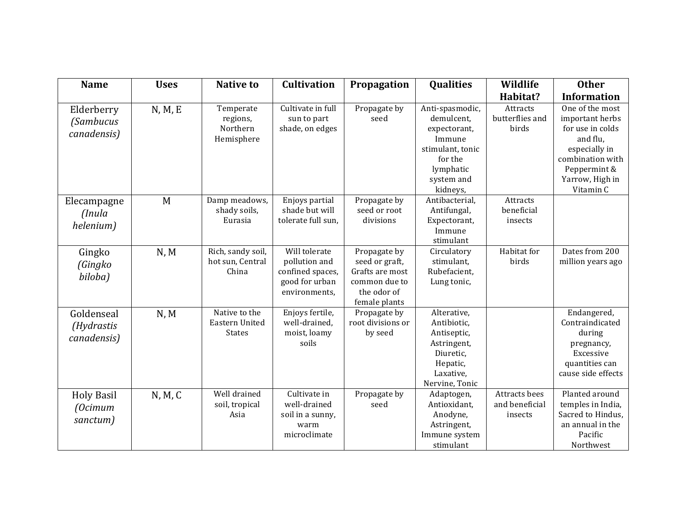| <b>Name</b>                                   | <b>Uses</b> | <b>Native to</b>                                 | <b>Cultivation</b>                                                                    | Propagation                                                                                        | <b>Qualities</b>                                                                                                              | Wildlife                                          | <b>Other</b>                                                                                                                                            |
|-----------------------------------------------|-------------|--------------------------------------------------|---------------------------------------------------------------------------------------|----------------------------------------------------------------------------------------------------|-------------------------------------------------------------------------------------------------------------------------------|---------------------------------------------------|---------------------------------------------------------------------------------------------------------------------------------------------------------|
|                                               |             |                                                  |                                                                                       |                                                                                                    |                                                                                                                               | Habitat?                                          | <b>Information</b>                                                                                                                                      |
| Elderberry<br><i>(Sambucus</i><br>canadensis) | N, M, E     | Temperate<br>regions,<br>Northern<br>Hemisphere  | Cultivate in full<br>sun to part<br>shade, on edges                                   | Propagate by<br>seed                                                                               | Anti-spasmodic,<br>demulcent,<br>expectorant,<br>Immune<br>stimulant, tonic<br>for the<br>lymphatic<br>system and<br>kidneys, | Attracts<br>butterflies and<br>birds              | One of the most<br>important herbs<br>for use in colds<br>and flu,<br>especially in<br>combination with<br>Peppermint &<br>Yarrow, High in<br>Vitamin C |
| Elecampagne<br>(Inula<br>helenium)            | M           | Damp meadows,<br>shady soils,<br>Eurasia         | Enjoys partial<br>shade but will<br>tolerate full sun,                                | Propagate by<br>seed or root<br>divisions                                                          | Antibacterial,<br>Antifungal,<br>Expectorant,<br>Immune<br>stimulant                                                          | <b>Attracts</b><br>beneficial<br>insects          |                                                                                                                                                         |
| Gingko<br>(Gingko<br>biloba)                  | N, M        | Rich, sandy soil,<br>hot sun, Central<br>China   | Will tolerate<br>pollution and<br>confined spaces,<br>good for urban<br>environments, | Propagate by<br>seed or graft,<br>Grafts are most<br>common due to<br>the odor of<br>female plants | Circulatory<br>stimulant.<br>Rubefacient,<br>Lung tonic,                                                                      | Habitat for<br>birds                              | Dates from 200<br>million years ago                                                                                                                     |
| Goldenseal<br>(Hydrastis<br>canadensis)       | N, M        | Native to the<br>Eastern United<br><b>States</b> | Enjoys fertile,<br>well-drained,<br>moist, loamy<br>soils                             | Propagate by<br>root divisions or<br>by seed                                                       | Alterative,<br>Antibiotic,<br>Antiseptic,<br>Astringent,<br>Diuretic,<br>Hepatic,<br>Laxative,<br>Nervine, Tonic              |                                                   | Endangered,<br>Contraindicated<br>during<br>pregnancy,<br>Excessive<br>quantities can<br>cause side effects                                             |
| <b>Holy Basil</b><br>(Ocimum<br>sanctum)      | N, M, C     | Well drained<br>soil, tropical<br>Asia           | Cultivate in<br>well-drained<br>soil in a sunny,<br>warm<br>microclimate              | Propagate by<br>seed                                                                               | Adaptogen,<br>Antioxidant,<br>Anodyne,<br>Astringent,<br>Immune system<br>stimulant                                           | <b>Attracts bees</b><br>and beneficial<br>insects | Planted around<br>temples in India,<br>Sacred to Hindus,<br>an annual in the<br>Pacific<br>Northwest                                                    |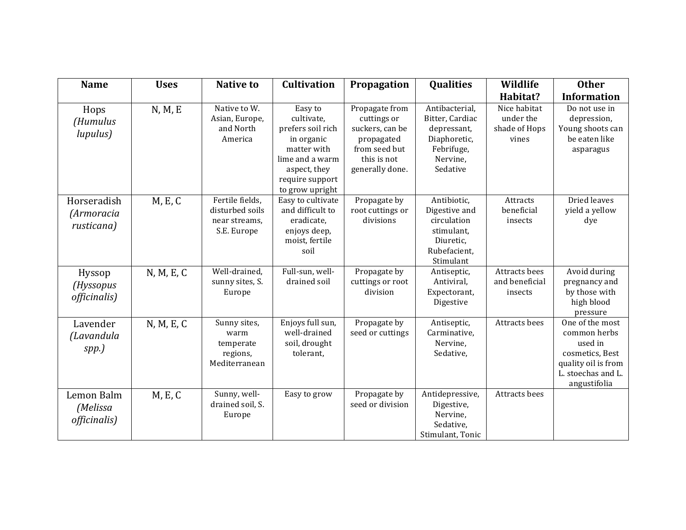| <b>Name</b>                             | <b>Uses</b> | <b>Native to</b>                                                   | <b>Cultivation</b>                                                                                                                               | Propagation                                                                                                       | <b>Qualities</b>                                                                                       | Wildlife                                            | <b>Other</b>                                                                                                               |
|-----------------------------------------|-------------|--------------------------------------------------------------------|--------------------------------------------------------------------------------------------------------------------------------------------------|-------------------------------------------------------------------------------------------------------------------|--------------------------------------------------------------------------------------------------------|-----------------------------------------------------|----------------------------------------------------------------------------------------------------------------------------|
|                                         |             |                                                                    |                                                                                                                                                  |                                                                                                                   |                                                                                                        | Habitat?                                            | <b>Information</b>                                                                                                         |
| Hops<br>(Humulus<br>lupulus)            | N, M, E     | Native to W.<br>Asian, Europe,<br>and North<br>America             | Easy to<br>cultivate,<br>prefers soil rich<br>in organic<br>matter with<br>lime and a warm<br>aspect, they<br>require support<br>to grow upright | Propagate from<br>cuttings or<br>suckers, can be<br>propagated<br>from seed but<br>this is not<br>generally done. | Antibacterial,<br>Bitter, Cardiac<br>depressant,<br>Diaphoretic,<br>Febrifuge,<br>Nervine,<br>Sedative | Nice habitat<br>under the<br>shade of Hops<br>vines | Do not use in<br>depression,<br>Young shoots can<br>be eaten like<br>asparagus                                             |
| Horseradish<br>(Armoracia<br>rusticana) | M, E, C     | Fertile fields,<br>disturbed soils<br>near streams.<br>S.E. Europe | Easy to cultivate<br>and difficult to<br>eradicate,<br>enjoys deep,<br>moist, fertile<br>soil                                                    | Propagate by<br>root cuttings or<br>divisions                                                                     | Antibiotic,<br>Digestive and<br>circulation<br>stimulant,<br>Diuretic,<br>Rubefacient,<br>Stimulant    | Attracts<br>beneficial<br>insects                   | Dried leaves<br>yield a yellow<br>dye                                                                                      |
| Hyssop<br>(Hyssopus<br>officinalis)     | N, M, E, C  | Well-drained,<br>sunny sites, S.<br>Europe                         | Full-sun, well-<br>drained soil                                                                                                                  | Propagate by<br>cuttings or root<br>division                                                                      | Antiseptic,<br>Antiviral,<br>Expectorant,<br>Digestive                                                 | Attracts bees<br>and beneficial<br>insects          | Avoid during<br>pregnancy and<br>by those with<br>high blood<br>pressure                                                   |
| Lavender<br>(Lavandula<br>spp.)         | N, M, E, C  | Sunny sites,<br>warm<br>temperate<br>regions,<br>Mediterranean     | Enjoys full sun,<br>well-drained<br>soil, drought<br>tolerant,                                                                                   | Propagate by<br>seed or cuttings                                                                                  | Antiseptic,<br>Carminative,<br>Nervine,<br>Sedative,                                                   | Attracts bees                                       | One of the most<br>common herbs<br>used in<br>cosmetics, Best<br>quality oil is from<br>L. stoechas and L.<br>angustifolia |
| Lemon Balm<br>(Melissa<br>officinalis)  | M, E, C     | Sunny, well-<br>drained soil, S.<br>Europe                         | Easy to grow                                                                                                                                     | Propagate by<br>seed or division                                                                                  | Antidepressive,<br>Digestive,<br>Nervine,<br>Sedative,<br>Stimulant, Tonic                             | Attracts bees                                       |                                                                                                                            |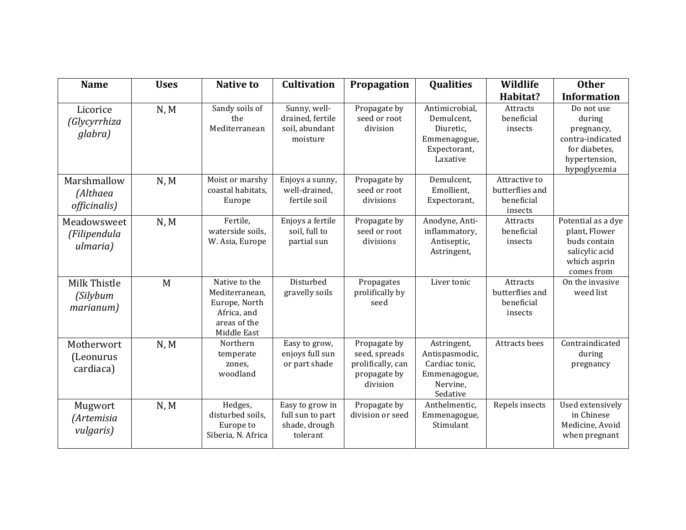| <b>Name</b>                                | <b>Uses</b> | <b>Native to</b>                                                                               | <b>Cultivation</b>                                               | Propagation                                                                    | <b>Qualities</b>                                                                        | Wildlife                                                  | <b>Other</b>                                                                                             |
|--------------------------------------------|-------------|------------------------------------------------------------------------------------------------|------------------------------------------------------------------|--------------------------------------------------------------------------------|-----------------------------------------------------------------------------------------|-----------------------------------------------------------|----------------------------------------------------------------------------------------------------------|
|                                            |             |                                                                                                |                                                                  |                                                                                |                                                                                         | Habitat?                                                  | <b>Information</b>                                                                                       |
| Licorice<br>(Glycyrrhiza<br>glabra)        | N, M        | Sandy soils of<br>the<br>Mediterranean                                                         | Sunny, well-<br>drained, fertile<br>soil, abundant<br>moisture   | Propagate by<br>seed or root<br>division                                       | Antimicrobial,<br>Demulcent,<br>Diuretic,<br>Emmenagogue,<br>Expectorant,<br>Laxative   | Attracts<br>beneficial<br>insects                         | Do not use<br>during<br>pregnancy,<br>contra-indicated<br>for diabetes,<br>hypertension,<br>hypoglycemia |
| Marshmallow<br>(Althaea<br>officinalis)    | N, M        | Moist or marshy<br>coastal habitats,<br>Europe                                                 | Enjoys a sunny,<br>well-drained,<br>fertile soil                 | Propagate by<br>seed or root<br>divisions                                      | Demulcent,<br>Emollient,<br>Expectorant,                                                | Attractive to<br>butterflies and<br>beneficial<br>insects |                                                                                                          |
| Meadowsweet<br>(Filipendula<br>ulmaria)    | N, M        | Fertile,<br>waterside soils,<br>W. Asia, Europe                                                | Enjoys a fertile<br>soil, full to<br>partial sun                 | Propagate by<br>seed or root<br>divisions                                      | Anodyne, Anti-<br>inflammatory,<br>Antiseptic,<br>Astringent,                           | Attracts<br>beneficial<br>insects                         | Potential as a dye<br>plant, Flower<br>buds contain<br>salicylic acid<br>which asprin<br>comes from      |
| Milk Thistle<br>(Silybum<br>marianum)      | M           | Native to the<br>Mediterranean,<br>Europe, North<br>Africa, and<br>areas of the<br>Middle East | Disturbed<br>gravelly soils                                      | Propagates<br>prolifically by<br>seed                                          | Liver tonic                                                                             | Attracts<br>butterflies and<br>beneficial<br>insects      | On the invasive<br>weed list                                                                             |
| Motherwort<br>(Leonurus<br>cardiaca)       | N, M        | Northern<br>temperate<br>zones,<br>woodland                                                    | Easy to grow,<br>enjoys full sun<br>or part shade                | Propagate by<br>seed, spreads<br>prolifically, can<br>propagate by<br>division | Astringent,<br>Antispasmodic,<br>Cardiac tonic,<br>Emmenagogue,<br>Nervine,<br>Sedative | Attracts bees                                             | Contraindicated<br>during<br>pregnancy                                                                   |
| Mugwort<br>(Artemisia<br><i>vulgaris</i> ) | N, M        | Hedges,<br>disturbed soils,<br>Europe to<br>Siberia, N. Africa                                 | Easy to grow in<br>full sun to part<br>shade, drough<br>tolerant | Propagate by<br>division or seed                                               | Anthelmentic,<br>Emmenagogue,<br>Stimulant                                              | Repels insects                                            | Used extensively<br>in Chinese<br>Medicine, Avoid<br>when pregnant                                       |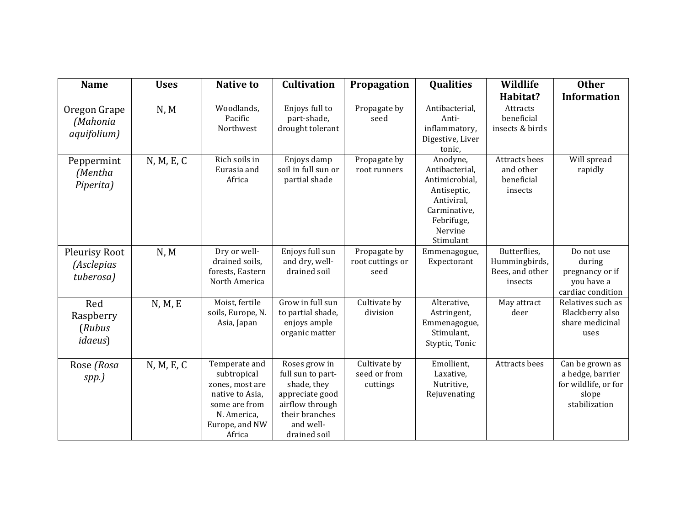| <b>Name</b>                                   | <b>Uses</b> | <b>Native to</b>                                                                                                               | <b>Cultivation</b>                                                                                                                     | Propagation                              | <b>Qualities</b>                                                                                                                | Wildlife                                                    | <b>Other</b>                                                                          |
|-----------------------------------------------|-------------|--------------------------------------------------------------------------------------------------------------------------------|----------------------------------------------------------------------------------------------------------------------------------------|------------------------------------------|---------------------------------------------------------------------------------------------------------------------------------|-------------------------------------------------------------|---------------------------------------------------------------------------------------|
|                                               |             |                                                                                                                                |                                                                                                                                        |                                          |                                                                                                                                 | Habitat?                                                    | <b>Information</b>                                                                    |
| Oregon Grape<br>(Mahonia<br>aquifolium)       | N, M        | Woodlands,<br>Pacific<br>Northwest                                                                                             | Enjoys full to<br>part-shade,<br>drought tolerant                                                                                      | Propagate by<br>seed                     | Antibacterial,<br>Anti-<br>inflammatory,<br>Digestive, Liver<br>tonic,                                                          | Attracts<br>beneficial<br>insects & birds                   |                                                                                       |
| Peppermint<br>(Mentha<br>Piperita)            | N, M, E, C  | Rich soils in<br>Eurasia and<br>Africa                                                                                         | Enjoys damp<br>soil in full sun or<br>partial shade                                                                                    | Propagate by<br>root runners             | Anodyne,<br>Antibacterial,<br>Antimicrobial,<br>Antiseptic,<br>Antiviral,<br>Carminative,<br>Febrifuge,<br>Nervine<br>Stimulant | Attracts bees<br>and other<br>beneficial<br>insects         | Will spread<br>rapidly                                                                |
| Pleurisy Root<br>(Asclepias<br>tuberosa)      | N, M        | Dry or well-<br>drained soils.<br>forests, Eastern<br>North America                                                            | Enjoys full sun<br>and dry, well-<br>drained soil                                                                                      | Propagate by<br>root cuttings or<br>seed | Emmenagogue,<br>Expectorant                                                                                                     | Butterflies,<br>Hummingbirds,<br>Bees, and other<br>insects | Do not use<br>during<br>pregnancy or if<br>you have a<br>cardiac condition            |
| Red<br>Raspberry<br>(Rubus<br><i>idaeus</i> ) | N, M, E     | Moist, fertile<br>soils, Europe, N.<br>Asia, Japan                                                                             | Grow in full sun<br>to partial shade,<br>enjoys ample<br>organic matter                                                                | Cultivate by<br>division                 | Alterative,<br>Astringent,<br>Emmenagogue,<br>Stimulant,<br>Styptic, Tonic                                                      | May attract<br>deer                                         | Relatives such as<br>Blackberry also<br>share medicinal<br>uses                       |
| Rose (Rosa<br>spp.)                           | N, M, E, C  | Temperate and<br>subtropical<br>zones, most are<br>native to Asia,<br>some are from<br>N. America,<br>Europe, and NW<br>Africa | Roses grow in<br>full sun to part-<br>shade, they<br>appreciate good<br>airflow through<br>their branches<br>and well-<br>drained soil | Cultivate by<br>seed or from<br>cuttings | Emollient,<br>Laxative,<br>Nutritive,<br>Rejuvenating                                                                           | Attracts bees                                               | Can be grown as<br>a hedge, barrier<br>for wildlife, or for<br>slope<br>stabilization |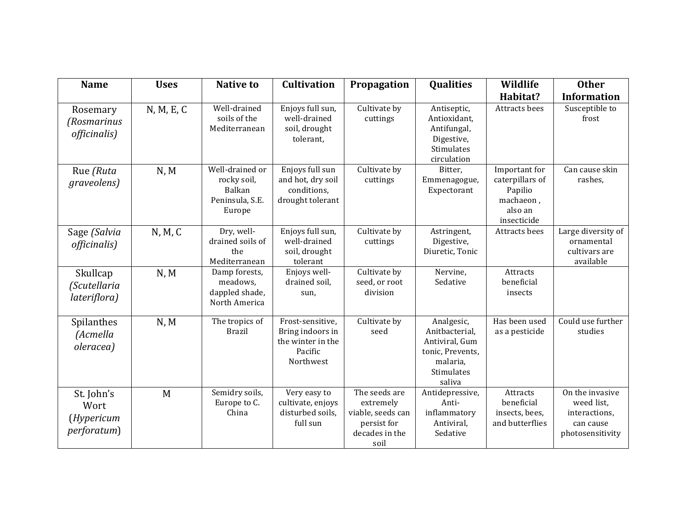| <b>Name</b>                                             | <b>Uses</b> | <b>Native to</b>                                                      | <b>Cultivation</b>                                                                | Propagation                                                                              | <b>Qualities</b>                                                                                              | Wildlife                                                                           | <b>Other</b>                                                                    |
|---------------------------------------------------------|-------------|-----------------------------------------------------------------------|-----------------------------------------------------------------------------------|------------------------------------------------------------------------------------------|---------------------------------------------------------------------------------------------------------------|------------------------------------------------------------------------------------|---------------------------------------------------------------------------------|
|                                                         |             |                                                                       |                                                                                   |                                                                                          |                                                                                                               | Habitat?                                                                           | <b>Information</b>                                                              |
| Rosemary<br>(Rosmarinus<br>officinalis)                 | N, M, E, C  | Well-drained<br>soils of the<br>Mediterranean                         | Enjoys full sun,<br>well-drained<br>soil, drought<br>tolerant,                    | Cultivate by<br>cuttings                                                                 | Antiseptic,<br>Antioxidant,<br>Antifungal,<br>Digestive,<br>Stimulates<br>circulation                         | <b>Attracts bees</b>                                                               | Susceptible to<br>frost                                                         |
| Rue (Ruta<br>graveolens)                                | N, M        | Well-drained or<br>rocky soil,<br>Balkan<br>Peninsula, S.E.<br>Europe | Enjoys full sun<br>and hot, dry soil<br>conditions,<br>drought tolerant           | Cultivate by<br>cuttings                                                                 | Bitter,<br>Emmenagogue,<br>Expectorant                                                                        | Important for<br>caterpillars of<br>Papilio<br>machaeon,<br>also an<br>insecticide | Can cause skin<br>rashes,                                                       |
| Sage (Salvia<br>officinalis)                            | N, M, C     | Dry, well-<br>drained soils of<br>the<br>Mediterranean                | Enjoys full sun,<br>well-drained<br>soil, drought<br>tolerant                     | Cultivate by<br>cuttings                                                                 | Astringent,<br>Digestive,<br>Diuretic, Tonic                                                                  | Attracts bees                                                                      | Large diversity of<br>ornamental<br>cultivars are<br>available                  |
| Skullcap<br>(Scutellaria<br>lateriflora)                | N, M        | Damp forests,<br>meadows,<br>dappled shade,<br>North America          | Enjoys well-<br>drained soil,<br>sun,                                             | Cultivate by<br>seed, or root<br>division                                                | Nervine,<br>Sedative                                                                                          | Attracts<br>beneficial<br>insects                                                  |                                                                                 |
| Spilanthes<br>(Acmella<br>oleracea)                     | N, M        | The tropics of<br><b>Brazil</b>                                       | Frost-sensitive,<br>Bring indoors in<br>the winter in the<br>Pacific<br>Northwest | Cultivate by<br>seed                                                                     | Analgesic,<br>Anitbacterial,<br>Antiviral, Gum<br>tonic, Prevents,<br>malaria,<br><b>Stimulates</b><br>saliva | Has been used<br>as a pesticide                                                    | Could use further<br>studies                                                    |
| St. John's<br>Wort<br>(Hypericum<br><i>perforatum</i> ) | M           | Semidry soils,<br>Europe to C.<br>China                               | Very easy to<br>cultivate, enjoys<br>disturbed soils.<br>full sun                 | The seeds are<br>extremely<br>viable, seeds can<br>persist for<br>decades in the<br>soil | Antidepressive,<br>Anti-<br>inflammatory<br>Antiviral,<br>Sedative                                            | Attracts<br>beneficial<br>insects, bees,<br>and butterflies                        | On the invasive<br>weed list,<br>interactions,<br>can cause<br>photosensitivity |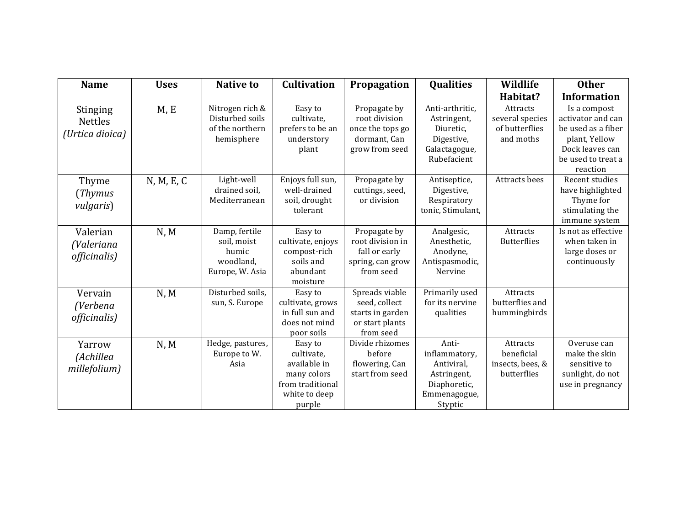| <b>Name</b>                                          | <b>Uses</b> | <b>Native to</b>                                                      | <b>Cultivation</b>                                                                                  | Propagation                                                                         | <b>Qualities</b>                                                                               | Wildlife                                                   | <b>Other</b>                                                                                                                  |
|------------------------------------------------------|-------------|-----------------------------------------------------------------------|-----------------------------------------------------------------------------------------------------|-------------------------------------------------------------------------------------|------------------------------------------------------------------------------------------------|------------------------------------------------------------|-------------------------------------------------------------------------------------------------------------------------------|
|                                                      |             |                                                                       |                                                                                                     |                                                                                     |                                                                                                | Habitat?                                                   | <b>Information</b>                                                                                                            |
| <b>Stinging</b><br><b>Nettles</b><br>(Urtica dioica) | M, E        | Nitrogen rich &<br>Disturbed soils<br>of the northern<br>hemisphere   | Easy to<br>cultivate,<br>prefers to be an<br>understory<br>plant                                    | Propagate by<br>root division<br>once the tops go<br>dormant, Can<br>grow from seed | Anti-arthritic,<br>Astringent,<br>Diuretic,<br>Digestive,<br>Galactagogue,<br>Rubefacient      | Attracts<br>several species<br>of butterflies<br>and moths | Is a compost<br>activator and can<br>be used as a fiber<br>plant, Yellow<br>Dock leaves can<br>be used to treat a<br>reaction |
| Thyme<br>(Thymus<br><i>vulgaris</i> )                | N, M, E, C  | Light-well<br>drained soil,<br>Mediterranean                          | Enjoys full sun,<br>well-drained<br>soil, drought<br>tolerant                                       | Propagate by<br>cuttings, seed,<br>or division                                      | Antiseptice,<br>Digestive,<br>Respiratory<br>tonic, Stimulant,                                 | Attracts bees                                              | Recent studies<br>have highlighted<br>Thyme for<br>stimulating the<br>immune system                                           |
| Valerian<br>(Valeriana<br>officinalis)               | N, M        | Damp, fertile<br>soil, moist<br>humic<br>woodland,<br>Europe, W. Asia | Easy to<br>cultivate, enjoys<br>compost-rich<br>soils and<br>abundant<br>moisture                   | Propagate by<br>root division in<br>fall or early<br>spring, can grow<br>from seed  | Analgesic,<br>Anesthetic,<br>Anodyne,<br>Antispasmodic,<br>Nervine                             | Attracts<br><b>Butterflies</b>                             | Is not as effective<br>when taken in<br>large doses or<br>continuously                                                        |
| Vervain<br>(Verbena<br>officinalis)                  | N, M        | Disturbed soils,<br>sun, S. Europe                                    | Easy to<br>cultivate, grows<br>in full sun and<br>does not mind<br>poor soils                       | Spreads viable<br>seed, collect<br>starts in garden<br>or start plants<br>from seed | Primarily used<br>for its nervine<br>qualities                                                 | Attracts<br>butterflies and<br>hummingbirds                |                                                                                                                               |
| Yarrow<br>(Achillea<br>millefolium)                  | N, M        | Hedge, pastures,<br>Europe to W.<br>Asia                              | Easy to<br>cultivate,<br>available in<br>many colors<br>from traditional<br>white to deep<br>purple | Divide rhizomes<br>before<br>flowering, Can<br>start from seed                      | Anti-<br>inflammatory,<br>Antiviral,<br>Astringent,<br>Diaphoretic,<br>Emmenagogue,<br>Styptic | Attracts<br>beneficial<br>insects, bees, &<br>butterflies  | Overuse can<br>make the skin<br>sensitive to<br>sunlight, do not<br>use in pregnancy                                          |